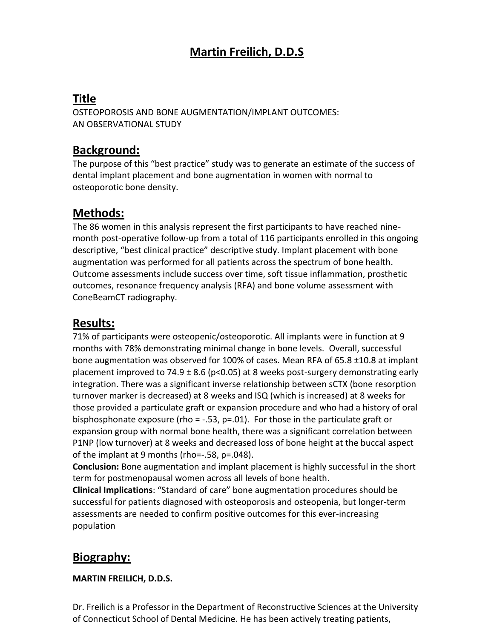# **Martin Freilich, D.D.S**

# **Title**

OSTEOPOROSIS AND BONE AUGMENTATION/IMPLANT OUTCOMES: AN OBSERVATIONAL STUDY

## **Background:**

The purpose of this "best practice" study was to generate an estimate of the success of dental implant placement and bone augmentation in women with normal to osteoporotic bone density.

## **Methods:**

The 86 women in this analysis represent the first participants to have reached ninemonth post-operative follow-up from a total of 116 participants enrolled in this ongoing descriptive, "best clinical practice" descriptive study. Implant placement with bone augmentation was performed for all patients across the spectrum of bone health. Outcome assessments include success over time, soft tissue inflammation, prosthetic outcomes, resonance frequency analysis (RFA) and bone volume assessment with ConeBeamCT radiography.

## **Results:**

71% of participants were osteopenic/osteoporotic. All implants were in function at 9 months with 78% demonstrating minimal change in bone levels. Overall, successful bone augmentation was observed for 100% of cases. Mean RFA of 65.8 ±10.8 at implant placement improved to 74.9  $\pm$  8.6 (p<0.05) at 8 weeks post-surgery demonstrating early integration. There was a significant inverse relationship between sCTX (bone resorption turnover marker is decreased) at 8 weeks and ISQ (which is increased) at 8 weeks for those provided a particulate graft or expansion procedure and who had a history of oral bisphosphonate exposure (rho =  $-.53$ , p=.01). For those in the particulate graft or expansion group with normal bone health, there was a significant correlation between P1NP (low turnover) at 8 weeks and decreased loss of bone height at the buccal aspect of the implant at 9 months (rho=-.58, p=.048).

**Conclusion:** Bone augmentation and implant placement is highly successful in the short term for postmenopausal women across all levels of bone health.

**Clinical Implications**: "Standard of care" bone augmentation procedures should be successful for patients diagnosed with osteoporosis and osteopenia, but longer-term assessments are needed to confirm positive outcomes for this ever-increasing population

# **Biography:**

### **MARTIN FREILICH, D.D.S.**

Dr. Freilich is a Professor in the Department of Reconstructive Sciences at the University of Connecticut School of Dental Medicine. He has been actively treating patients,